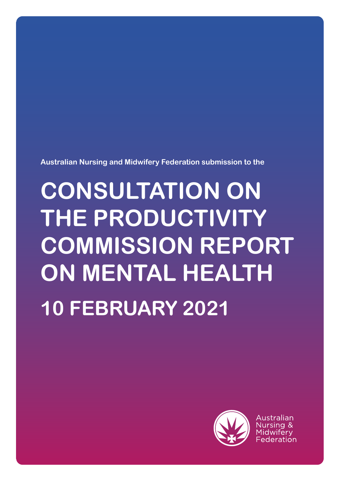**Australian Nursing and Midwifery Federation submission to the**

# **CONSULTATION ON THE PRODUCTIVITY COMMISSION REPORT ON MENTAL HEALTH 10 FEBRUARY 2021**



Australian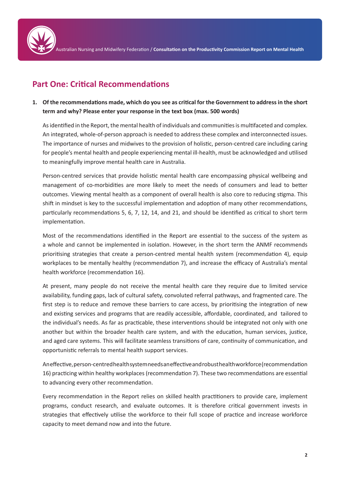

## **Part One: Critical Recommendations**

**1. Of the recommendations made, which do you see as critical for the Government to address in the short term and why? Please enter your response in the text box (max. 500 words)** 

As identified in the Report, the mental health of individuals and communities is multifaceted and complex. An integrated, whole-of-person approach is needed to address these complex and interconnected issues. The importance of nurses and midwives to the provision of holistic, person-centred care including caring for people's mental health and people experiencing mental ill-health, must be acknowledged and utilised to meaningfully improve mental health care in Australia.

Person-centred services that provide holistic mental health care encompassing physical wellbeing and management of co-morbidities are more likely to meet the needs of consumers and lead to better outcomes. Viewing mental health as a component of overall health is also core to reducing stigma. This shift in mindset is key to the successful implementation and adoption of many other recommendations, particularly recommendations 5, 6, 7, 12, 14, and 21, and should be identified as critical to short term implementation.

Most of the recommendations identified in the Report are essential to the success of the system as a whole and cannot be implemented in isolation. However, in the short term the ANMF recommends prioritising strategies that create a person-centred mental health system (recommendation 4), equip workplaces to be mentally healthy (recommendation 7), and increase the efficacy of Australia's mental health workforce (recommendation 16).

At present, many people do not receive the mental health care they require due to limited service availability, funding gaps, lack of cultural safety, convoluted referral pathways, and fragmented care. The first step is to reduce and remove these barriers to care access, by prioritising the integration of new and existing services and programs that are readily accessible, affordable, coordinated, and tailored to the individual's needs. As far as practicable, these interventions should be integrated not only with one another but within the broader health care system, and with the education, human services, justice, and aged care systems. This will facilitate seamless transitions of care, continuity of communication, and opportunistic referrals to mental health support services.

An effective, person-centred health system needs an effective and robust health workforce (recommendation 16) practicing within healthy workplaces (recommendation 7). These two recommendations are essential to advancing every other recommendation.

Every recommendation in the Report relies on skilled health practitioners to provide care, implement programs, conduct research, and evaluate outcomes. It is therefore critical government invests in strategies that effectively utilise the workforce to their full scope of practice and increase workforce capacity to meet demand now and into the future.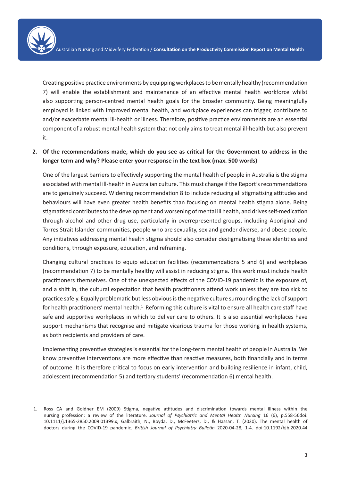Creating positive practice environments by equipping workplaces to be mentally healthy (recommendation 7) will enable the establishment and maintenance of an effective mental health workforce whilst also supporting person-centred mental health goals for the broader community. Being meaningfully employed is linked with improved mental health, and workplace experiences can trigger, contribute to and/or exacerbate mental ill-health or illness. Therefore, positive practice environments are an essential component of a robust mental health system that not only aims to treat mental ill-health but also prevent it.

**2. Of the recommendations made, which do you see as critical for the Government to address in the longer term and why? Please enter your response in the text box (max. 500 words)** 

One of the largest barriers to effectively supporting the mental health of people in Australia is the stigma associated with mental ill-health in Australian culture. This must change if the Report's recommendations are to genuinely succeed. Widening recommendation 8 to include reducing all stigmatising attitudes and behaviours will have even greater health benefits than focusing on mental health stigma alone. Being stigmatised contributes to the development and worsening of mental ill health, and drives self-medication through alcohol and other drug use, particularly in overrepresented groups, including Aboriginal and Torres Strait Islander communities, people who are sexuality, sex and gender diverse, and obese people. Any initiatives addressing mental health stigma should also consider destigmatising these identities and conditions, through exposure, education, and reframing.

Changing cultural practices to equip education facilities (recommendations 5 and 6) and workplaces (recommendation 7) to be mentally healthy will assist in reducing stigma. This work must include health practitioners themselves. One of the unexpected effects of the COVID-19 pandemic is the exposure of, and a shift in, the cultural expectation that health practitioners attend work unless they are too sick to practice safely. Equally problematic but less obvious is the negative culture surrounding the lack of support for health practitioners' mental health.<sup>1</sup> Reforming this culture is vital to ensure all health care staff have safe and supportive workplaces in which to deliver care to others. It is also essential workplaces have support mechanisms that recognise and mitigate vicarious trauma for those working in health systems, as both recipients and providers of care.

Implementing preventive strategies is essential for the long-term mental health of people in Australia. We know preventive interventions are more effective than reactive measures, both financially and in terms of outcome. It is therefore critical to focus on early intervention and building resilience in infant, child, adolescent (recommendation 5) and tertiary students' (recommendation 6) mental health.

<sup>1.</sup> Ross CA and Goldner EM (2009) Stigma, negative attitudes and discrimination towards mental illness within the nursing profession: a review of the literature. *Journal of Psychiatric and Mental Health Nursing* 16 (6), p.558-56doi: 10.1111/j.1365-2850.2009.01399.x; Galbraith, N., Boyda, D., McFeeters, D., & Hassan, T. (2020). The mental health of doctors during the COVID-19 pandemic. *British Journal of Psychiatry Bulletin* 2020-04-28, 1-4. doi:10.1192/bjb.2020.44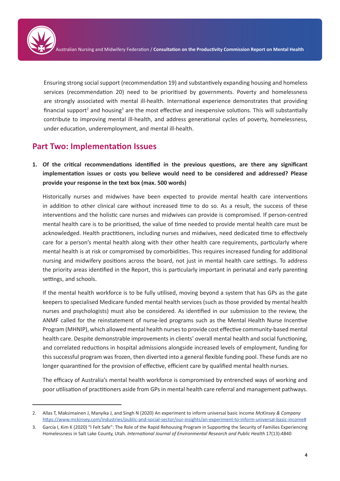Ensuring strong social support (recommendation 19) and substantively expanding housing and homeless services (recommendation 20) need to be prioritised by governments. Poverty and homelessness are strongly associated with mental ill-health. International experience demonstrates that providing financial support<sup>2</sup> and housing<sup>3</sup> are the most effective and inexpensive solutions. This will substantially contribute to improving mental ill-health, and address generational cycles of poverty, homelessness, under education, underemployment, and mental ill-health.

### **Part Two: Implementation Issues**

**1. Of the critical recommendations identified in the previous questions, are there any significant implementation issues or costs you believe would need to be considered and addressed? Please provide your response in the text box (max. 500 words)**

Historically nurses and midwives have been expected to provide mental health care interventions in addition to other clinical care without increased time to do so. As a result, the success of these interventions and the holistic care nurses and midwives can provide is compromised. If person-centred mental health care is to be prioritised, the value of time needed to provide mental health care must be acknowledged. Health practitioners, including nurses and midwives, need dedicated time to effectively care for a person's mental health along with their other health care requirements, particularly where mental health is at risk or compromised by comorbidities. This requires increased funding for additional nursing and midwifery positions across the board, not just in mental health care settings. To address the priority areas identified in the Report, this is particularly important in perinatal and early parenting settings, and schools.

If the mental health workforce is to be fully utilised, moving beyond a system that has GPs as the gate keepers to specialised Medicare funded mental health services (such as those provided by mental health nurses and psychologists) must also be considered. As identified in our submission to the review, the ANMF called for the reinstatement of nurse-led programs such as the Mental Health Nurse Incentive Program (MHNIP), which allowed mental health nurses to provide cost effective community-based mental health care. Despite demonstrable improvements in clients' overall mental health and social functioning, and correlated reductions in hospital admissions alongside increased levels of employment, funding for this successful program was frozen, then diverted into a general flexible funding pool. These funds are no longer quarantined for the provision of effective, efficient care by qualified mental health nurses.

The efficacy of Australia's mental health workforce is compromised by entrenched ways of working and poor utilisation of practitioners aside from GPs in mental health care referral and management pathways.

<sup>2.</sup> Allas T, Maksimainen J, Manyika J, and Singh N (2020) An experiment to inform universal basic income *McKinsey & Company* https://www.mckinsey.com/industries/public-and-social-sector/our-insights/an-experiment-to-inform-universal-basic-income#

<sup>3.</sup> García I, Kim K (2020) "I Felt Safe": The Role of the Rapid Rehousing Program in Supporting the Security of Families Experiencing Homelessness in Salt Lake County, Utah. *International Journal of Environmental Research and Public Health* 17(13):4840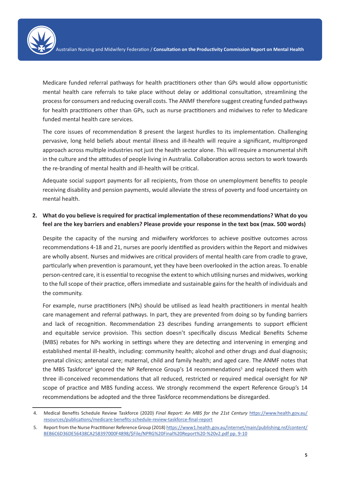Medicare funded referral pathways for health practitioners other than GPs would allow opportunistic mental health care referrals to take place without delay or additional consultation, streamlining the process for consumers and reducing overall costs. The ANMF therefore suggest creating funded pathways for health practitioners other than GPs, such as nurse practitioners and midwives to refer to Medicare funded mental health care services.

The core issues of recommendation 8 present the largest hurdles to its implementation. Challenging pervasive, long held beliefs about mental illness and ill-health will require a significant, multipronged approach across multiple industries not just the health sector alone. This will require a monumental shift in the culture and the attitudes of people living in Australia. Collaboration across sectors to work towards the re-branding of mental health and ill-health will be critical.

Adequate social support payments for all recipients, from those on unemployment benefits to people receiving disability and pension payments, would alleviate the stress of poverty and food uncertainty on mental health.

#### **2. What do you believe is required for practical implementation of these recommendations? What do you feel are the key barriers and enablers? Please provide your response in the text box (max. 500 words)**

Despite the capacity of the nursing and midwifery workforces to achieve positive outcomes across recommendations 4-18 and 21, nurses are poorly identified as providers within the Report and midwives are wholly absent. Nurses and midwives are critical providers of mental health care from cradle to grave, particularly when prevention is paramount, yet they have been overlooked in the action areas. To enable person-centred care, it is essential to recognise the extent to which utilising nurses and midwives, working to the full scope of their practice, offers immediate and sustainable gains for the health of individuals and the community.

For example, nurse practitioners (NPs) should be utilised as lead health practitioners in mental health care management and referral pathways. In part, they are prevented from doing so by funding barriers and lack of recognition. Recommendation 23 describes funding arrangements to support efficient and equitable service provision. This section doesn't specifically discuss Medical Benefits Scheme (MBS) rebates for NPs working in settings where they are detecting and intervening in emerging and established mental ill-health, including: community health; alcohol and other drugs and dual diagnosis; prenatal clinics; antenatal care; maternal, child and family health; and aged care. The ANMF notes that the MBS Taskforce<sup>4</sup> ignored the NP Reference Group's 14 recommendations<sup>5</sup> and replaced them with three ill-conceived recommendations that all reduced, restricted or required medical oversight for NP scope of practice and MBS funding access. We strongly recommend the expert Reference Group's 14 recommendations be adopted and the three Taskforce recommendations be disregarded.

<sup>4.</sup> Medical Benefits Schedule Review Taskforce (2020) *Final Report: An MBS for the 21st Century* https://www.health.gov.au/ resources/publications/medicare-benefits-schedule-review-taskforce-final-report

<sup>5.</sup> Report from the Nurse Practitioner Reference Group (2018) https://www1.health.gov.au/internet/main/publishing.nsf/content/ BEB6C6D36DE56438CA258397000F4898/\$File/NPRG%20Final%20Report%20-%20v2.pdf pp. 9-10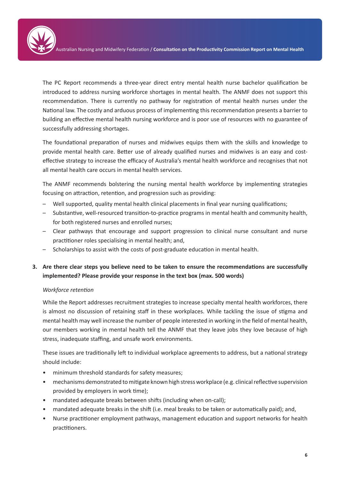The PC Report recommends a three-year direct entry mental health nurse bachelor qualification be introduced to address nursing workforce shortages in mental health. The ANMF does not support this recommendation. There is currently no pathway for registration of mental health nurses under the National law. The costly and arduous process of implementing this recommendation presents a barrier to building an effective mental health nursing workforce and is poor use of resources with no guarantee of successfully addressing shortages.

The foundational preparation of nurses and midwives equips them with the skills and knowledge to provide mental health care. Better use of already qualified nurses and midwives is an easy and costeffective strategy to increase the efficacy of Australia's mental health workforce and recognises that not all mental health care occurs in mental health services.

The ANMF recommends bolstering the nursing mental health workforce by implementing strategies focusing on attraction, retention, and progression such as providing:

- Well supported, quality mental health clinical placements in final year nursing qualifications;
- Substantive, well-resourced transition-to-practice programs in mental health and community health, for both registered nurses and enrolled nurses;
- Clear pathways that encourage and support progression to clinical nurse consultant and nurse practitioner roles specialising in mental health; and,
- Scholarships to assist with the costs of post-graduate education in mental health.

#### **3. Are there clear steps you believe need to be taken to ensure the recommendations are successfully implemented? Please provide your response in the text box (max. 500 words)**

#### *Workforce retention*

While the Report addresses recruitment strategies to increase specialty mental health workforces, there is almost no discussion of retaining staff in these workplaces. While tackling the issue of stigma and mental health may well increase the number of people interested in working in the field of mental health, our members working in mental health tell the ANMF that they leave jobs they love because of high stress, inadequate staffing, and unsafe work environments.

These issues are traditionally left to individual workplace agreements to address, but a national strategy should include:

- minimum threshold standards for safety measures;
- mechanisms demonstrated to mitigate known high stress workplace (e.g. clinical reflective supervision provided by employers in work time);
- mandated adequate breaks between shifts (including when on-call);
- mandated adequate breaks in the shift (i.e. meal breaks to be taken or automatically paid); and,
- Nurse practitioner employment pathways, management education and support networks for health practitioners.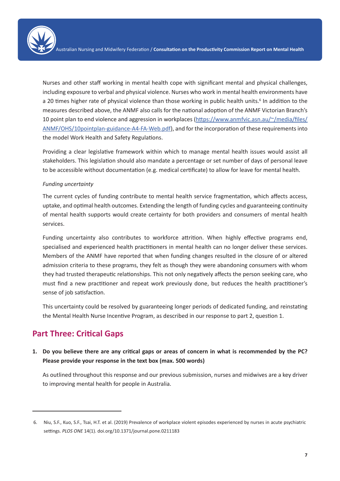Nurses and other staff working in mental health cope with significant mental and physical challenges, including exposure to verbal and physical violence. Nurses who work in mental health environments have a 20 times higher rate of physical violence than those working in public health units.<sup>6</sup> In addition to the measures described above, the ANMF also calls for the national adoption of the ANMF Victorian Branch's 10 point plan to end violence and aggression in workplaces (https://www.anmfvic.asn.au/~/media/files/ ANMF/OHS/10pointplan-guidance-A4-FA-Web.pdf), and for the incorporation of these requirements into the model Work Health and Safety Regulations.

Providing a clear legislative framework within which to manage mental health issues would assist all stakeholders. This legislation should also mandate a percentage or set number of days of personal leave to be accessible without documentation (e.g. medical certificate) to allow for leave for mental health.

#### *Funding uncertainty*

The current cycles of funding contribute to mental health service fragmentation, which affects access, uptake, and optimal health outcomes. Extending the length of funding cycles and guaranteeing continuity of mental health supports would create certainty for both providers and consumers of mental health services.

Funding uncertainty also contributes to workforce attrition. When highly effective programs end, specialised and experienced health practitioners in mental health can no longer deliver these services. Members of the ANMF have reported that when funding changes resulted in the closure of or altered admission criteria to these programs, they felt as though they were abandoning consumers with whom they had trusted therapeutic relationships. This not only negatively affects the person seeking care, who must find a new practitioner and repeat work previously done, but reduces the health practitioner's sense of job satisfaction.

This uncertainty could be resolved by guaranteeing longer periods of dedicated funding, and reinstating the Mental Health Nurse Incentive Program, as described in our response to part 2, question 1.

## **Part Three: Critical Gaps**

**1. Do you believe there are any critical gaps or areas of concern in what is recommended by the PC? Please provide your response in the text box (max. 500 words)** 

As outlined throughout this response and our previous submission, nurses and midwives are a key driver to improving mental health for people in Australia.

<sup>6.</sup> Niu, S.F., Kuo, S.F., Tsai, H.T. et al. (2019) Prevalence of workplace violent episodes experienced by nurses in acute psychiatric settings. *PLOS ONE* 14(1). doi.org/10.1371/journal.pone.0211183